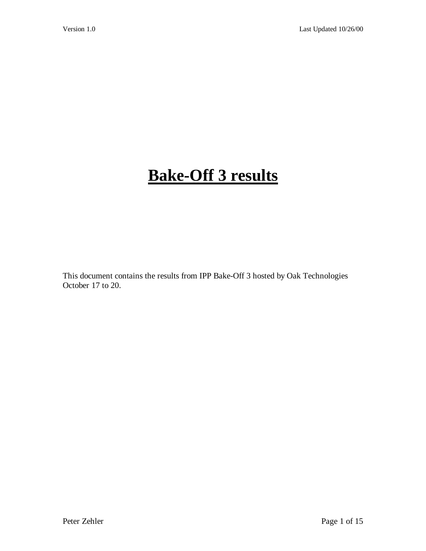# **Bake-Off 3 results**

This document contains the results from IPP Bake-Off 3 hosted by Oak Technologies October 17 to 20.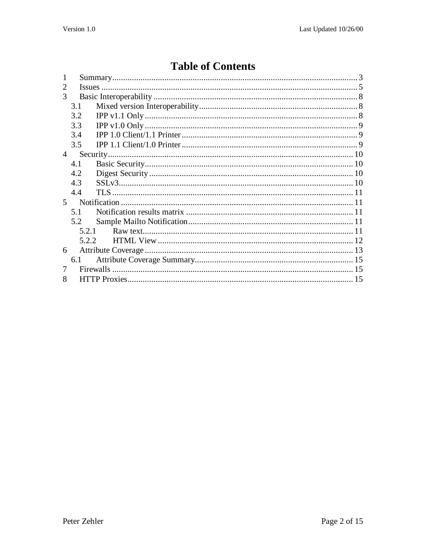# **Table of Contents**

| $\mathcal{D}_{\mathcal{L}}$ |       |  |
|-----------------------------|-------|--|
| 3                           |       |  |
|                             | 3.1   |  |
|                             | 3.2   |  |
|                             | 3.3   |  |
|                             | 3.4   |  |
|                             | 3.5   |  |
| $\overline{4}$              |       |  |
|                             | 4.1   |  |
|                             | 4.2   |  |
|                             | 4.3   |  |
|                             | 4.4   |  |
| 5 <sup>5</sup>              |       |  |
|                             | 5.1   |  |
|                             | 5.2   |  |
|                             | 5.2.1 |  |
|                             | 5.2.2 |  |
| 6                           |       |  |
|                             | 6.1   |  |
|                             |       |  |
| 8                           |       |  |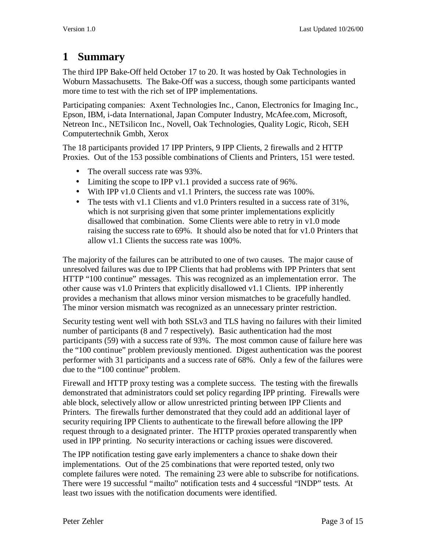# **1 Summary**

The third IPP Bake-Off held October 17 to 20. It was hosted by Oak Technologies in Woburn Massachusetts. The Bake-Off was a success, though some participants wanted more time to test with the rich set of IPP implementations.

Participating companies: Axent Technologies Inc., Canon, Electronics for Imaging Inc., Epson, IBM, i-data International, Japan Computer Industry, McAfee.com, Microsoft, Netreon Inc., NETsilicon Inc., Novell, Oak Technologies, Quality Logic, Ricoh, SEH Computertechnik Gmbh, Xerox

The 18 participants provided 17 IPP Printers, 9 IPP Clients, 2 firewalls and 2 HTTP Proxies. Out of the 153 possible combinations of Clients and Printers, 151 were tested.

- The overall success rate was 93%.
- Limiting the scope to IPP v1.1 provided a success rate of 96%.
- With IPP v1.0 Clients and v1.1 Printers, the success rate was 100%.
- The tests with v1.1 Clients and v1.0 Printers resulted in a success rate of 31%, which is not surprising given that some printer implementations explicitly disallowed that combination. Some Clients were able to retry in v1.0 mode raising the success rate to 69%. It should also be noted that for v1.0 Printers that allow v1.1 Clients the success rate was 100%.

The majority of the failures can be attributed to one of two causes. The major cause of unresolved failures was due to IPP Clients that had problems with IPP Printers that sent HTTP "100 continue" messages. This was recognized as an implementation error. The other cause was v1.0 Printers that explicitly disallowed v1.1 Clients. IPP inherently provides a mechanism that allows minor version mismatches to be gracefully handled. The minor version mismatch was recognized as an unnecessary printer restriction.

Security testing went well with both SSLv3 and TLS having no failures with their limited number of participants (8 and 7 respectively). Basic authentication had the most participants (59) with a success rate of 93%. The most common cause of failure here was the "100 continue" problem previously mentioned. Digest authentication was the poorest performer with 31 participants and a success rate of 68%. Only a few of the failures were due to the "100 continue" problem.

Firewall and HTTP proxy testing was a complete success. The testing with the firewalls demonstrated that administrators could set policy regarding IPP printing. Firewalls were able block, selectively allow or allow unrestricted printing between IPP Clients and Printers. The firewalls further demonstrated that they could add an additional layer of security requiring IPP Clients to authenticate to the firewall before allowing the IPP request through to a designated printer. The HTTP proxies operated transparently when used in IPP printing. No security interactions or caching issues were discovered.

The IPP notification testing gave early implementers a chance to shake down their implementations. Out of the 25 combinations that were reported tested, only two complete failures were noted. The remaining 23 were able to subscribe for notifications. There were 19 successful "mailto" notification tests and 4 successful "INDP" tests. At least two issues with the notification documents were identified.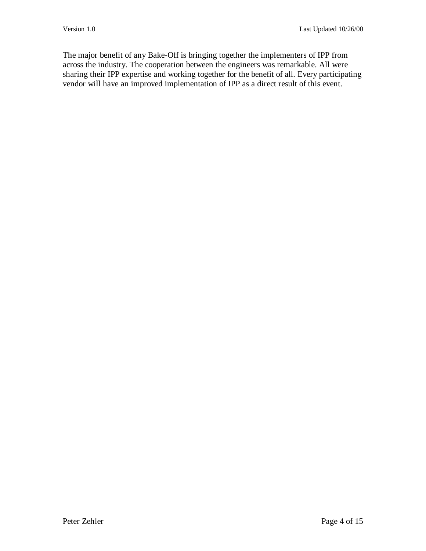The major benefit of any Bake-Off is bringing together the implementers of IPP from across the industry. The cooperation between the engineers was remarkable. All were sharing their IPP expertise and working together for the benefit of all. Every participating vendor will have an improved implementation of IPP as a direct result of this event.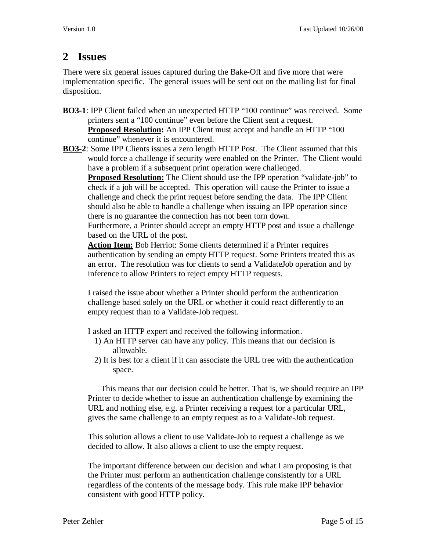#### **2 Issues**

There were six general issues captured during the Bake-Off and five more that were implementation specific. The general issues will be sent out on the mailing list for final disposition.

- **BO3-1**: IPP Client failed when an unexpected HTTP "100 continue" was received. Some printers sent a "100 continue" even before the Client sent a request. **Proposed Resolution:** An IPP Client must accept and handle an HTTP "100 continue" whenever it is encountered.
- **BO3-2**: Some IPP Clients issues a zero length HTTP Post. The Client assumed that this would force a challenge if security were enabled on the Printer. The Client would have a problem if a subsequent print operation were challenged.

**Proposed Resolution:** The Client should use the IPP operation "validate-job" to check if a job will be accepted. This operation will cause the Printer to issue a challenge and check the print request before sending the data. The IPP Client should also be able to handle a challenge when issuing an IPP operation since there is no guarantee the connection has not been torn down.

Furthermore, a Printer should accept an empty HTTP post and issue a challenge based on the URL of the post.

**Action Item:** Bob Herriot: Some clients determined if a Printer requires authentication by sending an empty HTTP request. Some Printers treated this as an error. The resolution was for clients to send a ValidateJob operation and by inference to allow Printers to reject empty HTTP requests.

I raised the issue about whether a Printer should perform the authentication challenge based solely on the URL or whether it could react differently to an empty request than to a Validate-Job request.

I asked an HTTP expert and received the following information.

- 1) An HTTP server can have any policy. This means that our decision is allowable.
- 2) It is best for a client if it can associate the URL tree with the authentication space.

 This means that our decision could be better. That is, we should require an IPP Printer to decide whether to issue an authentication challenge by examining the URL and nothing else, e.g. a Printer receiving a request for a particular URL, gives the same challenge to an empty request as to a Validate-Job request.

This solution allows a client to use Validate-Job to request a challenge as we decided to allow. It also allows a client to use the empty request.

The important difference between our decision and what I am proposing is that the Printer must perform an authentication challenge consistently for a URL regardless of the contents of the message body. This rule make IPP behavior consistent with good HTTP policy.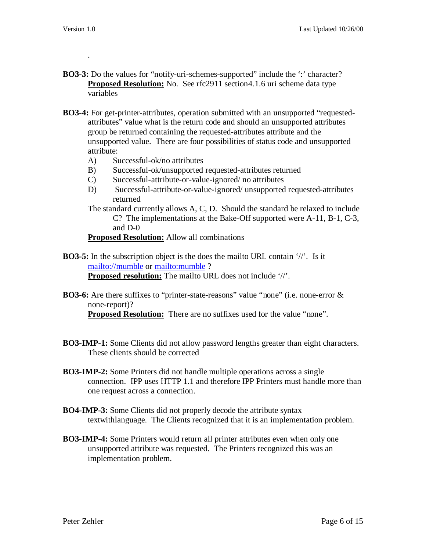.

- **BO3-3:** Do the values for "notify-uri-schemes-supported" include the ": character? **Proposed Resolution:** No. See rfc2911 section4.1.6 uri scheme data type variables
- **BO3-4:** For get-printer-attributes, operation submitted with an unsupported "requestedattributes" value what is the return code and should an unsupported attributes group be returned containing the requested-attributes attribute and the unsupported value. There are four possibilities of status code and unsupported attribute:
	- A) Successful-ok/no attributes
	- B) Successful-ok/unsupported requested-attributes returned
	- C) Successful-attribute-or-value-ignored/ no attributes
	- D) Successful-attribute-or-value-ignored/ unsupported requested-attributes returned
	- The standard currently allows A, C, D. Should the standard be relaxed to include C? The implementations at the Bake-Off supported were A-11, B-1, C-3, and D-0

#### **Proposed Resolution:** Allow all combinations

- **BO3-5:** In the subscription object is the does the mailto URL contain '//'. Is it mailto://mumble or mailto:mumble ? **Proposed resolution:** The mailto URL does not include '//'.
- **BO3-6:** Are there suffixes to "printer-state-reasons" value "none" (i.e. none-error & none-report)?

**Proposed Resolution:** There are no suffixes used for the value "none".

- **BO3-IMP-1:** Some Clients did not allow password lengths greater than eight characters. These clients should be corrected
- **BO3-IMP-2:** Some Printers did not handle multiple operations across a single connection. IPP uses HTTP 1.1 and therefore IPP Printers must handle more than one request across a connection.
- **BO4-IMP-3:** Some Clients did not properly decode the attribute syntax textwithlanguage. The Clients recognized that it is an implementation problem.
- **BO3-IMP-4:** Some Printers would return all printer attributes even when only one unsupported attribute was requested. The Printers recognized this was an implementation problem.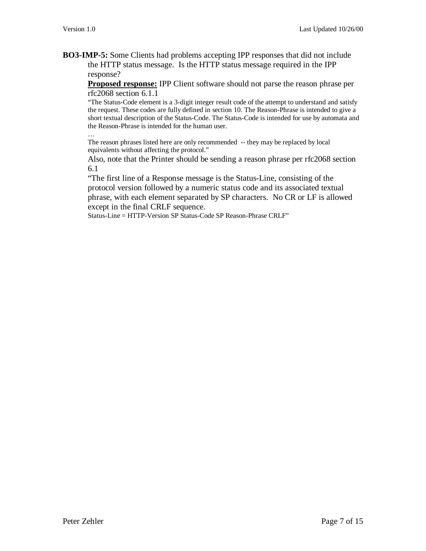**BO3-IMP-5:** Some Clients had problems accepting IPP responses that did not include the HTTP status message. Is the HTTP status message required in the IPP response?

**Proposed response:** IPP Client software should not parse the reason phrase per rfc2068 section 6.1.1

"The Status-Code element is a 3-digit integer result code of the attempt to understand and satisfy the request. These codes are fully defined in section 10. The Reason-Phrase is intended to give a short textual description of the Status-Code. The Status-Code is intended for use by automata and the Reason-Phrase is intended for the human user. …

The reason phrases listed here are only recommended -- they may be replaced by local equivalents without affecting the protocol."

Also, note that the Printer should be sending a reason phrase per rfc2068 section 6.1

"The first line of a Response message is the Status-Line, consisting of the protocol version followed by a numeric status code and its associated textual phrase, with each element separated by SP characters. No CR or LF is allowed except in the final CRLF sequence.

Status-Line = HTTP-Version SP Status-Code SP Reason-Phrase CRLF"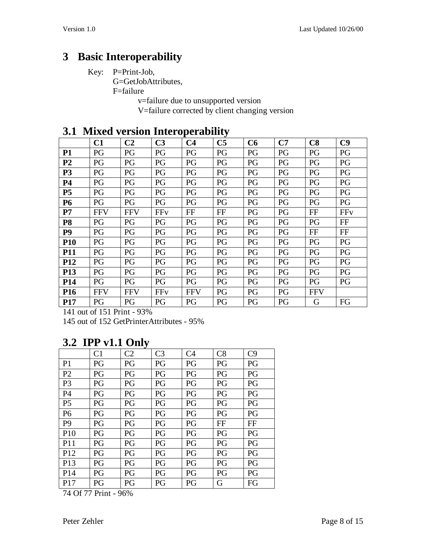# **3 Basic Interoperability**

Key: P=Print-Job,

G=GetJobAttributes,

F=failure

v=failure due to unsupported version

V=failure corrected by client changing version

| ◡▴              | TITIVA     | version mitti operability |                |                |                |    |    |            |     |
|-----------------|------------|---------------------------|----------------|----------------|----------------|----|----|------------|-----|
|                 | C1         | C <sub>2</sub>            | C <sub>3</sub> | C <sub>4</sub> | C <sub>5</sub> | C6 | C7 | C8         | C9  |
| <b>P1</b>       | PG         | PG                        | PG             | PG             | PG             | PG | PG | PG         | PG  |
| P <sub>2</sub>  | PG         | PG                        | PG             | PG             | PG             | PG | PG | PG         | PG  |
| <b>P3</b>       | PG         | PG                        | PG             | PG             | PG             | PG | PG | PG         | PG  |
| <b>P4</b>       | PG         | PG                        | PG             | PG             | PG             | PG | PG | PG         | PG  |
| P <sub>5</sub>  | PG         | PG                        | PG             | PG             | PG             | PG | PG | PG         | PG  |
| <b>P6</b>       | PG         | PG                        | PG             | PG             | PG             | PG | PG | PG         | PG  |
| P7              | <b>FFV</b> | <b>FFV</b>                | <b>FFv</b>     | FF             | $\rm FF$       | PG | PG | FF         | FFv |
| <b>P8</b>       | PG         | PG                        | PG             | PG             | PG             | PG | PG | PG         | FF  |
| P <sub>9</sub>  | PG         | PG                        | PG             | PG             | PG             | PG | PG | $\rm FF$   | FF  |
| <b>P10</b>      | PG         | PG                        | PG             | PG             | PG             | PG | PG | PG         | PG  |
| <b>P11</b>      | PG         | PG                        | PG             | PG             | PG             | PG | PG | PG         | PG  |
| <b>P12</b>      | PG         | PG                        | PG             | PG             | PG             | PG | PG | PG         | PG  |
| P13             | PG         | PG                        | PG             | PG             | PG             | PG | PG | PG         | PG  |
| <b>P14</b>      | PG         | PG                        | PG             | PG             | PG             | PG | PG | PG         | PG  |
| P <sub>16</sub> | <b>FFV</b> | <b>FFV</b>                | FFv            | <b>FFV</b>     | PG             | PG | PG | <b>FFV</b> |     |
| <b>P17</b>      | PG         | PG                        | PG             | PG             | PG             | PG | PG | G          | FG  |

#### **3.1 Mixed version Interoperability**

141 out of 151 Print - 93%

145 out of 152 GetPrinterAttributes - 95%

# **3.2 IPP v1.1 Only**

|                 |                | ັ              |                |    |    |    |
|-----------------|----------------|----------------|----------------|----|----|----|
|                 | C <sub>1</sub> | C <sub>2</sub> | C <sub>3</sub> | C4 | C8 | C9 |
| P <sub>1</sub>  | PG             | PG             | PG             | PG | PG | PG |
| P <sub>2</sub>  | PG             | PG             | PG             | PG | PG | PG |
| P <sub>3</sub>  | PG             | PG             | PG             | PG | PG | PG |
| P <sub>4</sub>  | PG             | PG             | PG             | PG | PG | PG |
| P <sub>5</sub>  | PG             | PG             | PG             | PG | PG | PG |
| P <sub>6</sub>  | PG             | PG             | PG             | PG | PG | PG |
| P <sub>9</sub>  | PG             | PG             | PG             | PG | FF | FF |
| P <sub>10</sub> | PG             | PG             | PG             | PG | PG | PG |
| <b>P11</b>      | PG             | PG             | PG             | PG | PG | PG |
| P <sub>12</sub> | PG             | PG             | PG             | PG | PG | PG |
| P <sub>13</sub> | PG             | PG             | PG             | PG | PG | PG |
| P <sub>14</sub> | PG             | PG             | PG             | PG | PG | PG |
| P17             | PG             | PG             | PG             | PG | G  | FG |

74 Of 77 Print - 96%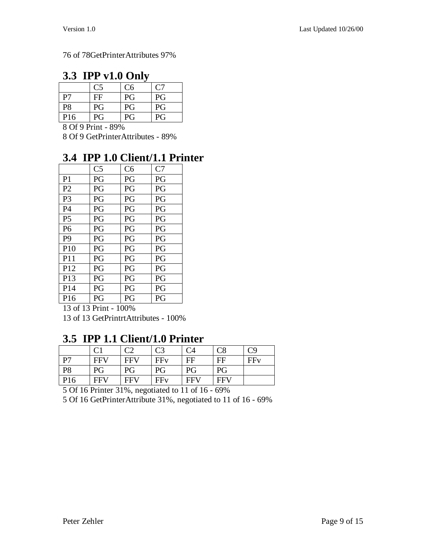#### 76 of 78GetPrinterAttributes 97%

#### **3.3 IPP v1.0 Only**

|           | C <sub>5</sub> | C <sub>6</sub> | C7 |
|-----------|----------------|----------------|----|
| P7        | FF             | PG             | PG |
| <b>P8</b> | PG             | PG             | PG |
| P16       | PG             | PG             | PG |

8 Of 9 Print - 89%

8 Of 9 GetPrinterAttributes - 89%

### **3.4 IPP 1.0 Client/1.1 Printer**

|                 | C <sub>5</sub> | C6 | C7 |
|-----------------|----------------|----|----|
| P <sub>1</sub>  | PG             | PG | PG |
| P <sub>2</sub>  | PG             | PG | PG |
| P <sub>3</sub>  | PG             | PG | PG |
| <b>P4</b>       | PG             | PG | PG |
| P <sub>5</sub>  | PG             | PG | PG |
| P <sub>6</sub>  | PG             | PG | PG |
| P <sub>9</sub>  | PG             | PG | PG |
| P10             | PG             | PG | PG |
| P <sub>11</sub> | PG             | PG | PG |
| P <sub>12</sub> | PG             | PG | PG |
| P <sub>13</sub> | PG             | PG | PG |
| P <sub>14</sub> | PG             | PG | PG |
| P <sub>16</sub> | PG             | PG | PG |

13 of 13 Print - 100% 13 of 13 GetPrintrtAttributes - 100%

#### **3.5 IPP 1.1 Client/1.0 Printer**

|                 |            |            | C <sub>3</sub> | C <sub>4</sub> |            | C9  |
|-----------------|------------|------------|----------------|----------------|------------|-----|
| P7              | FFV        | <b>FFV</b> | FFy            | FF             | FF         | FFv |
| <b>P8</b>       | PG         | PG         | PG             | PG             | PG         |     |
| P <sub>16</sub> | <b>FFV</b> | <b>FFV</b> | FFy            | <b>FFV</b>     | <b>FFV</b> |     |

5 Of 16 Printer 31%, negotiated to 11 of 16 - 69%

5 Of 16 GetPrinterAttribute 31%, negotiated to 11 of 16 - 69%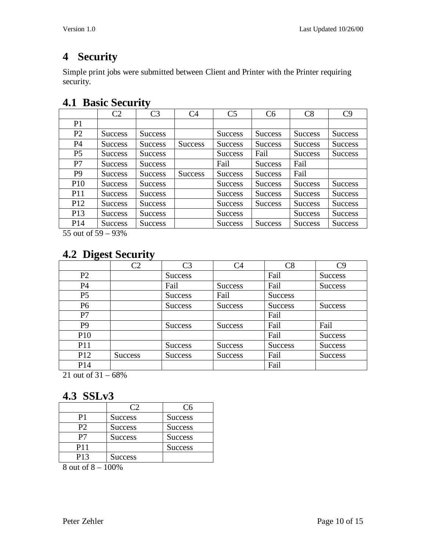# **4 Security**

Simple print jobs were submitted between Client and Printer with the Printer requiring security.

### **4.1 Basic Security**

| <b>Success</b> |
|----------------|
| <b>Success</b> |
| <b>Success</b> |
|                |
|                |
| <b>Success</b> |
| <b>Success</b> |
| <b>Success</b> |
| <b>Success</b> |
| <b>Success</b> |
|                |

55 out of 59 – 93%

# **4.2 Digest Security**

| ິ               | $\bullet$<br>C2 | C <sub>3</sub> | C <sub>4</sub> | C8             | C9             |
|-----------------|-----------------|----------------|----------------|----------------|----------------|
| P <sub>2</sub>  |                 | <b>Success</b> |                | Fail           | <b>Success</b> |
| <b>P4</b>       |                 | Fail           | <b>Success</b> | Fail           | <b>Success</b> |
| P <sub>5</sub>  |                 | <b>Success</b> | Fail           | <b>Success</b> |                |
| P <sub>6</sub>  |                 | <b>Success</b> | <b>Success</b> | <b>Success</b> | Success        |
| P7              |                 |                |                | Fail           |                |
| P <sub>9</sub>  |                 | <b>Success</b> | <b>Success</b> | Fail           | Fail           |
| <b>P10</b>      |                 |                |                | Fail           | <b>Success</b> |
| <b>P11</b>      |                 | <b>Success</b> | <b>Success</b> | <b>Success</b> | <b>Success</b> |
| P <sub>12</sub> | <b>Success</b>  | <b>Success</b> | <b>Success</b> | Fail           | <b>Success</b> |
| P <sub>14</sub> |                 |                |                | Fail           |                |

21 out of 31 – 68%

# **4.3 SSLv3**

|     |                | ( არ           |
|-----|----------------|----------------|
| P1  | <b>Success</b> | <b>Success</b> |
| P2  | <b>Success</b> | <b>Success</b> |
| P7  | <b>Success</b> | <b>Success</b> |
| P11 |                | <b>Success</b> |
| P13 | Success        |                |

8 out of 8 – 100%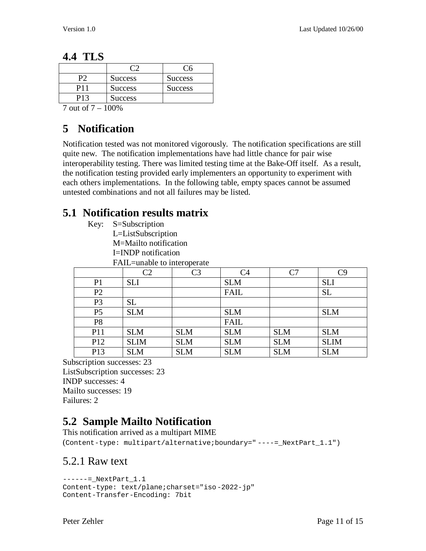#### **4.4 TLS**

| <b>Success</b> | <b>Success</b> |
|----------------|----------------|
| <b>Success</b> | <b>Success</b> |
| <b>Success</b> |                |

7 out of 7 – 100%

## **5 Notification**

Notification tested was not monitored vigorously. The notification specifications are still quite new. The notification implementations have had little chance for pair wise interoperability testing. There was limited testing time at the Bake-Off itself. As a result, the notification testing provided early implementers an opportunity to experiment with each others implementations. In the following table, empty spaces cannot be assumed untested combinations and not all failures may be listed.

### **5.1 Notification results matrix**

- Key: S=Subscription
	- L=ListSubscription
	- M=Mailto notification
	- I=INDP notification
	- FAIL=unable to interoperate

|                 | C <sub>2</sub> | C <sub>3</sub> | C <sub>4</sub> | C7         | C9          |
|-----------------|----------------|----------------|----------------|------------|-------------|
| P <sub>1</sub>  | <b>SLI</b>     |                | <b>SLM</b>     |            | <b>SLI</b>  |
| P <sub>2</sub>  |                |                | <b>FAIL</b>    |            | <b>SL</b>   |
| P <sub>3</sub>  | <b>SL</b>      |                |                |            |             |
| P <sub>5</sub>  | <b>SLM</b>     |                | <b>SLM</b>     |            | <b>SLM</b>  |
| P <sub>8</sub>  |                |                | <b>FAIL</b>    |            |             |
| P11             | <b>SLM</b>     | <b>SLM</b>     | <b>SLM</b>     | <b>SLM</b> | <b>SLM</b>  |
| P12             | <b>SLIM</b>    | <b>SLM</b>     | <b>SLM</b>     | <b>SLM</b> | <b>SLIM</b> |
| P <sub>13</sub> | <b>SLM</b>     | <b>SLM</b>     | <b>SLM</b>     | <b>SLM</b> | <b>SLM</b>  |

Subscription successes: 23 ListSubscription successes: 23 INDP successes: 4 Mailto successes: 19 Failures: 2

# **5.2 Sample Mailto Notification**

This notification arrived as a multipart MIME (Content-type: multipart/alternative;boundary=" ----=\_NextPart\_1.1")

#### 5.2.1 Raw text

```
-----= NextPart 1.1Content-type: text/plane;charset="iso-2022-jp"
Content-Transfer-Encoding: 7bit
```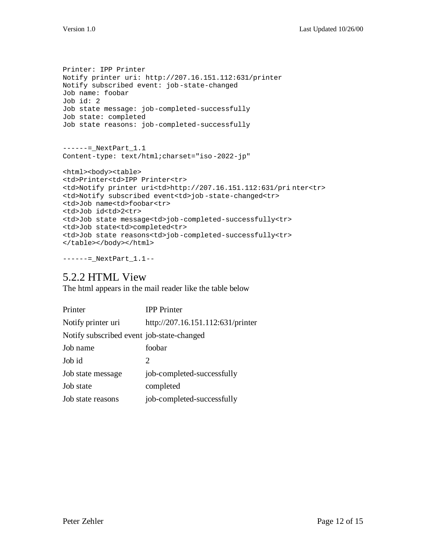```
Printer: IPP Printer
Notify printer uri: http://207.16.151.112:631/printer
Notify subscribed event: job-state-changed
Job name: foobar
Job id: 2
Job state message: job-completed-successfully
Job state: completed
Job state reasons: job-completed-successfully
------=_NextPart_1.1
Content-type: text/html;charset="iso-2022-jp"
<html><body><table>
<td>Printer<td>IPP Printer<tr>
<td>Notify printer uri<td>http://207.16.151.112:631/pri nter<tr>
<td>Notify subscribed event<td>job -state-changed<tr>
<td>Job name<td>foobar<tr>
<td>Job id<td>2<tr>
<td>Job state message<td>job-completed-successfully<tr>
<td>Job state<td>completed<tr>
<td>Job state reasons<td>job-completed-successfully<tr>
</table></body></html>
```

```
------=_NextPart_1.1--
```
#### 5.2.2 HTML View

The html appears in the mail reader like the table below

| Printer                                   | <b>IPP</b> Printer                |
|-------------------------------------------|-----------------------------------|
| Notify printer uri                        | http://207.16.151.112:631/printer |
| Notify subscribed event job-state-changed |                                   |
| Job name                                  | foobar                            |
| Job id                                    | $\mathcal{D}_{\cdot}$             |
| Job state message                         | job-completed-successfully        |
| Job state                                 | completed                         |
| Job state reasons                         | job-completed-successfully        |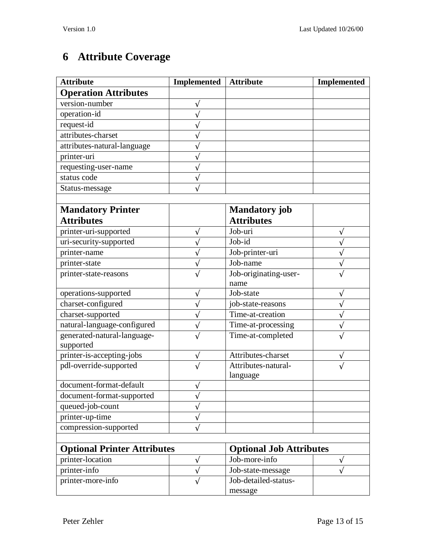# **6 Attribute Coverage**

| <b>Operation Attributes</b><br>version-number<br>operation-id<br>request-id<br>attributes-charset<br>attributes-natural-language<br>printer-uri<br>requesting-user-name<br>status code<br>Status-message<br><b>Mandatory</b> job<br><b>Mandatory Printer</b><br><b>Attributes</b><br><b>Attributes</b><br>printer-uri-supported<br>Job-uri<br>V<br>Job-id<br>uri-security-supported<br>Job-printer-uri<br>printer-name<br>Job-name<br>printer-state<br>٦<br>Job-originating-user-<br>printer-state-reasons<br>name<br>operations-supported<br>Job-state<br>V<br>charset-configured<br>job-state-reasons<br>charset-supported<br>Time-at-creation<br>natural-language-configured<br>Time-at-processing<br>generated-natural-language-<br>Time-at-completed<br>supported<br>printer-is-accepting-jobs<br>Attributes-charset<br>pdl-override-supported<br>Attributes-natural-<br>language<br>document-format-default<br>document-format-supported<br>queued-job-count<br>printer-up-time<br>compression-supported<br><b>Optional Printer Attributes</b><br><b>Optional Job Attributes</b><br>printer-location<br>Job-more-info<br>V<br>V<br>printer-info<br>Job-state-message<br>Job-detailed-status-<br>printer-more-info | <b>Attribute</b> | <b>Implemented</b> | <b>Attribute</b> | <b>Implemented</b> |
|-------------------------------------------------------------------------------------------------------------------------------------------------------------------------------------------------------------------------------------------------------------------------------------------------------------------------------------------------------------------------------------------------------------------------------------------------------------------------------------------------------------------------------------------------------------------------------------------------------------------------------------------------------------------------------------------------------------------------------------------------------------------------------------------------------------------------------------------------------------------------------------------------------------------------------------------------------------------------------------------------------------------------------------------------------------------------------------------------------------------------------------------------------------------------------------------------------------------------|------------------|--------------------|------------------|--------------------|
|                                                                                                                                                                                                                                                                                                                                                                                                                                                                                                                                                                                                                                                                                                                                                                                                                                                                                                                                                                                                                                                                                                                                                                                                                         |                  |                    |                  |                    |
|                                                                                                                                                                                                                                                                                                                                                                                                                                                                                                                                                                                                                                                                                                                                                                                                                                                                                                                                                                                                                                                                                                                                                                                                                         |                  |                    |                  |                    |
|                                                                                                                                                                                                                                                                                                                                                                                                                                                                                                                                                                                                                                                                                                                                                                                                                                                                                                                                                                                                                                                                                                                                                                                                                         |                  |                    |                  |                    |
|                                                                                                                                                                                                                                                                                                                                                                                                                                                                                                                                                                                                                                                                                                                                                                                                                                                                                                                                                                                                                                                                                                                                                                                                                         |                  |                    |                  |                    |
|                                                                                                                                                                                                                                                                                                                                                                                                                                                                                                                                                                                                                                                                                                                                                                                                                                                                                                                                                                                                                                                                                                                                                                                                                         |                  |                    |                  |                    |
|                                                                                                                                                                                                                                                                                                                                                                                                                                                                                                                                                                                                                                                                                                                                                                                                                                                                                                                                                                                                                                                                                                                                                                                                                         |                  |                    |                  |                    |
|                                                                                                                                                                                                                                                                                                                                                                                                                                                                                                                                                                                                                                                                                                                                                                                                                                                                                                                                                                                                                                                                                                                                                                                                                         |                  |                    |                  |                    |
|                                                                                                                                                                                                                                                                                                                                                                                                                                                                                                                                                                                                                                                                                                                                                                                                                                                                                                                                                                                                                                                                                                                                                                                                                         |                  |                    |                  |                    |
|                                                                                                                                                                                                                                                                                                                                                                                                                                                                                                                                                                                                                                                                                                                                                                                                                                                                                                                                                                                                                                                                                                                                                                                                                         |                  |                    |                  |                    |
|                                                                                                                                                                                                                                                                                                                                                                                                                                                                                                                                                                                                                                                                                                                                                                                                                                                                                                                                                                                                                                                                                                                                                                                                                         |                  |                    |                  |                    |
|                                                                                                                                                                                                                                                                                                                                                                                                                                                                                                                                                                                                                                                                                                                                                                                                                                                                                                                                                                                                                                                                                                                                                                                                                         |                  |                    |                  |                    |
|                                                                                                                                                                                                                                                                                                                                                                                                                                                                                                                                                                                                                                                                                                                                                                                                                                                                                                                                                                                                                                                                                                                                                                                                                         |                  |                    |                  |                    |
|                                                                                                                                                                                                                                                                                                                                                                                                                                                                                                                                                                                                                                                                                                                                                                                                                                                                                                                                                                                                                                                                                                                                                                                                                         |                  |                    |                  |                    |
|                                                                                                                                                                                                                                                                                                                                                                                                                                                                                                                                                                                                                                                                                                                                                                                                                                                                                                                                                                                                                                                                                                                                                                                                                         |                  |                    |                  |                    |
|                                                                                                                                                                                                                                                                                                                                                                                                                                                                                                                                                                                                                                                                                                                                                                                                                                                                                                                                                                                                                                                                                                                                                                                                                         |                  |                    |                  |                    |
|                                                                                                                                                                                                                                                                                                                                                                                                                                                                                                                                                                                                                                                                                                                                                                                                                                                                                                                                                                                                                                                                                                                                                                                                                         |                  |                    |                  |                    |
|                                                                                                                                                                                                                                                                                                                                                                                                                                                                                                                                                                                                                                                                                                                                                                                                                                                                                                                                                                                                                                                                                                                                                                                                                         |                  |                    |                  |                    |
|                                                                                                                                                                                                                                                                                                                                                                                                                                                                                                                                                                                                                                                                                                                                                                                                                                                                                                                                                                                                                                                                                                                                                                                                                         |                  |                    |                  |                    |
|                                                                                                                                                                                                                                                                                                                                                                                                                                                                                                                                                                                                                                                                                                                                                                                                                                                                                                                                                                                                                                                                                                                                                                                                                         |                  |                    |                  |                    |
|                                                                                                                                                                                                                                                                                                                                                                                                                                                                                                                                                                                                                                                                                                                                                                                                                                                                                                                                                                                                                                                                                                                                                                                                                         |                  |                    |                  |                    |
|                                                                                                                                                                                                                                                                                                                                                                                                                                                                                                                                                                                                                                                                                                                                                                                                                                                                                                                                                                                                                                                                                                                                                                                                                         |                  |                    |                  |                    |
|                                                                                                                                                                                                                                                                                                                                                                                                                                                                                                                                                                                                                                                                                                                                                                                                                                                                                                                                                                                                                                                                                                                                                                                                                         |                  |                    |                  |                    |
|                                                                                                                                                                                                                                                                                                                                                                                                                                                                                                                                                                                                                                                                                                                                                                                                                                                                                                                                                                                                                                                                                                                                                                                                                         |                  |                    |                  |                    |
|                                                                                                                                                                                                                                                                                                                                                                                                                                                                                                                                                                                                                                                                                                                                                                                                                                                                                                                                                                                                                                                                                                                                                                                                                         |                  |                    |                  |                    |
|                                                                                                                                                                                                                                                                                                                                                                                                                                                                                                                                                                                                                                                                                                                                                                                                                                                                                                                                                                                                                                                                                                                                                                                                                         |                  |                    |                  |                    |
|                                                                                                                                                                                                                                                                                                                                                                                                                                                                                                                                                                                                                                                                                                                                                                                                                                                                                                                                                                                                                                                                                                                                                                                                                         |                  |                    |                  |                    |
|                                                                                                                                                                                                                                                                                                                                                                                                                                                                                                                                                                                                                                                                                                                                                                                                                                                                                                                                                                                                                                                                                                                                                                                                                         |                  |                    |                  |                    |
|                                                                                                                                                                                                                                                                                                                                                                                                                                                                                                                                                                                                                                                                                                                                                                                                                                                                                                                                                                                                                                                                                                                                                                                                                         |                  |                    |                  |                    |
|                                                                                                                                                                                                                                                                                                                                                                                                                                                                                                                                                                                                                                                                                                                                                                                                                                                                                                                                                                                                                                                                                                                                                                                                                         |                  |                    |                  |                    |
|                                                                                                                                                                                                                                                                                                                                                                                                                                                                                                                                                                                                                                                                                                                                                                                                                                                                                                                                                                                                                                                                                                                                                                                                                         |                  |                    |                  |                    |
|                                                                                                                                                                                                                                                                                                                                                                                                                                                                                                                                                                                                                                                                                                                                                                                                                                                                                                                                                                                                                                                                                                                                                                                                                         |                  |                    |                  |                    |
|                                                                                                                                                                                                                                                                                                                                                                                                                                                                                                                                                                                                                                                                                                                                                                                                                                                                                                                                                                                                                                                                                                                                                                                                                         |                  |                    |                  |                    |
|                                                                                                                                                                                                                                                                                                                                                                                                                                                                                                                                                                                                                                                                                                                                                                                                                                                                                                                                                                                                                                                                                                                                                                                                                         |                  |                    |                  |                    |
|                                                                                                                                                                                                                                                                                                                                                                                                                                                                                                                                                                                                                                                                                                                                                                                                                                                                                                                                                                                                                                                                                                                                                                                                                         |                  |                    |                  |                    |
|                                                                                                                                                                                                                                                                                                                                                                                                                                                                                                                                                                                                                                                                                                                                                                                                                                                                                                                                                                                                                                                                                                                                                                                                                         |                  |                    |                  |                    |
|                                                                                                                                                                                                                                                                                                                                                                                                                                                                                                                                                                                                                                                                                                                                                                                                                                                                                                                                                                                                                                                                                                                                                                                                                         |                  |                    |                  |                    |
|                                                                                                                                                                                                                                                                                                                                                                                                                                                                                                                                                                                                                                                                                                                                                                                                                                                                                                                                                                                                                                                                                                                                                                                                                         |                  |                    |                  |                    |
|                                                                                                                                                                                                                                                                                                                                                                                                                                                                                                                                                                                                                                                                                                                                                                                                                                                                                                                                                                                                                                                                                                                                                                                                                         |                  |                    | message          |                    |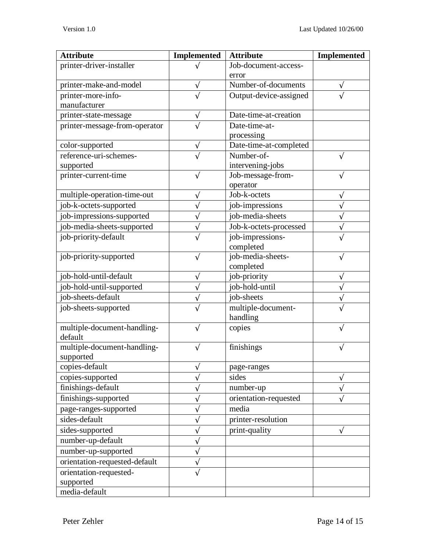| <b>Attribute</b>              | <b>Implemented</b> | <b>Attribute</b>       | <b>Implemented</b> |
|-------------------------------|--------------------|------------------------|--------------------|
| printer-driver-installer      |                    | Job-document-access-   |                    |
|                               |                    | error                  |                    |
| printer-make-and-model        |                    | Number-of-documents    |                    |
| printer-more-info-            |                    | Output-device-assigned |                    |
| manufacturer                  |                    |                        |                    |
| printer-state-message         |                    | Date-time-at-creation  |                    |
| printer-message-from-operator |                    | Date-time-at-          |                    |
|                               |                    | processing             |                    |
| color-supported               | V                  | Date-time-at-completed |                    |
| reference-uri-schemes-        |                    | Number-of-             |                    |
| supported                     |                    | intervening-jobs       |                    |
| printer-current-time          |                    | Job-message-from-      |                    |
|                               |                    | operator               |                    |
| multiple-operation-time-out   |                    | Job-k-octets           |                    |
| job-k-octets-supported        |                    | job-impressions        |                    |
| job-impressions-supported     |                    | job-media-sheets       |                    |
| job-media-sheets-supported    |                    | Job-k-octets-processed |                    |
| job-priority-default          |                    | job-impressions-       |                    |
|                               |                    | completed              |                    |
| job-priority-supported        | V                  | job-media-sheets-      |                    |
|                               |                    | completed              |                    |
| job-hold-until-default        |                    | job-priority           |                    |
| job-hold-until-supported      |                    | job-hold-until         |                    |
| job-sheets-default            |                    | job-sheets             |                    |
| job-sheets-supported          |                    | multiple-document-     |                    |
|                               |                    | handling               |                    |
| multiple-document-handling-   |                    | copies                 |                    |
| default                       |                    |                        |                    |
| multiple-document-handling-   |                    | finishings             |                    |
| supported                     |                    |                        |                    |
| copies-default                | V                  | page-ranges            |                    |
| copies-supported              |                    | sides                  | V                  |
| finishings-default            |                    | number-up              |                    |
| finishings-supported          |                    | orientation-requested  |                    |
| page-ranges-supported         |                    | media                  |                    |
| sides-default                 |                    | printer-resolution     |                    |
| sides-supported               |                    | print-quality          | N                  |
| number-up-default             |                    |                        |                    |
| number-up-supported           |                    |                        |                    |
| orientation-requested-default |                    |                        |                    |
| orientation-requested-        |                    |                        |                    |
| supported                     |                    |                        |                    |
| media-default                 |                    |                        |                    |